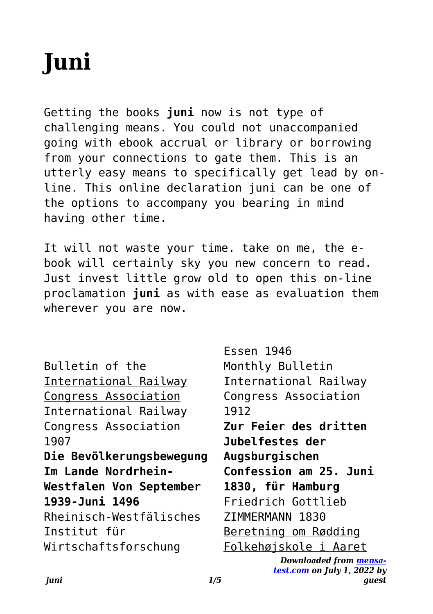Recognizing the mannerism ways to acquire this book **juni** is additionally useful. You have remained in right site to start getting this info. get the juni partner that we find the money for here and check out the link.

You could purchase guide juni or get it as soon as feasible. You could speedily download this juni after getting deal. So, taking into account you require the books swiftly, you can straight get it. Its fittingly unconditionally simple and in view of that fats, isnt it? You have to favor to in this way of being

## **Niedersächsische Verordnung zur Absonderung von mit dem …**

Juni 2022 (Nds. GVBl. S. 364) Aufgrund des § 32 Satz 1 in Verbindung mit § 28 Abs. 1 Sätze 1 und 2 und Abs. 3, § 29 und § 30 Abs. 1 Satz 2 des Infektionsschutzgesetzes vom 20. Juli 2000 (BGBl. I S. 1045), zuletzt geändert durch Artikel 2 des Gesetzes vom 10. Dezember 2021 (BGBl.

**Consumer trends accelerated by the COVID-19 pandemic are …**

3 | PwC's June 2021 Global Consumer Insights Pulse Survey Consumers' shift to digital has accelerated dramatically. They are buying more groceries online, Gen Z consumers have developed

# **Beamforming and TM's in LTE - Rohde & Schwarz**

MIMO and Beamforming Technologies Beamforming basics 1MA186\_2e Rohde & Schwarz LTE Beamforming 4 Simply stated, the receiver receives the signal y that results when the input signal vector x is multiplied by the transmission matrix H.  $y = H * x$  Transmission matrix H contains the channel impulse responses h nm, which reference

**Oerol Festival 2022 - vrijdag 10 juni 2022**

Oerol Festival 2022 - vrijdag 10 juni 2022 Versie: 17 mei om 15:47 MIDDEN 08:00 09:00 10:00 11:00 12:00 13:00 14:00 15:00 16:00 17:00 18:00 19:00 20:00 21:00 22:00 23:00 00:00 01:00 Dôbe Formerum Oost 22:30 Rijgen de Luwte 10:00 Shishani 14:00 Bahghi 17:00 Over de geur van vers brood en de schaal van de dingen 18:15 Over de geur van vers brood ...

### **Werkwijzer Poortwachter - UWV**

Bij de geactualiseerde Werkwijzer Poortwachter van 1 juni 2021 Door de inwerkingtreding van de 'Wet arbeidsmarkt in balans' (WAB) vanaf 1 januari 2020, is de Werkwijzer Poortwachter aangepast. Zo zijn de reintegratieverplichtingen van de payrollwerkgever gewijzigd. Daarom zijn (in hoofdstuk 6) ook deze teksten veranderd.

*Verordnung 832.102 über die Krankenversicherung admin.ch*

Krankenversicherung. V 3 832.102 a.18 aktive und pensionierte Bundesbedienstete, die nach Artikel 1a Absatz 1 Buchstabe b Ziffern 1–7 und Artikel 2 des Bundesgesetzes vom 19. Juni 199219 über die Militärversicherung (MVG) der Militärversicherung unterstellt sind; b. Personen, die sich ausschliesslich zur ärztlichen Behandlung oder zur Kur in

> Apr 28, 2021  $\cdot$  2.1 2.2 2.3 There are, however, a handful of privacy coins that enable private blockchain transactions. Block explorer A block explorer – a website that tracks all the

# Holzpreise aktuell & regional - LAND & FORST

Holzpreise aktuell & regional Stichtag: 15. Juni 2021 Diese Holzpreisübersicht basiert auf den Preismeldungen der LWK-Forstämter aus allen Teilen Niedersachsens.

Neben den Preisspannen erhalten Sie Informationen über die aktuellen Trends bei den wichtigsten Marktsegmenten.

### **43126296**

Title: 43126296.indd Author: anagtegaal Created Date: 6/4/2022 10:23:24 AM

Verordnung (EU) Nr. 604/2013 des Europäischen Parlaments …

und des Rates vom 26. Juni 2013 zur Festlegung von Normen für die Aufnahme von Personen, die internatio nalen Schutz beantragen (3) sollte vorbehaltlich der Ein schränkungen der Anwendung jener Richtlinie auf das Verfahren zur Bestimmung des zuständigen Mitgliedstaats nach Maßgabe dieser Verordnung Anwendung finden.

# **Kreisschreiben Nr. 6 - admin.ch**

Bern, 6. Juni 1997 . An die kantonalen Verwaltungen für die direkte Bundessteuer . Kreisschreiben Nr. 6 Verdecktes Eigenkapital (Art. 65 und 75 DBG) bei Kapitalgesellschaften und Genossen-schaften 1. Einleitung Zwischen den Beteiligten einer Gesellschaft und der Gesellschaft selber können sowohl ver-

*1254 Ishihara Instructions - Stanford University*

Ishihara Instructions The Series of Plates Designed as a Test for Color Deficiency SHINOBU ISHIHARA M.D., Dr.Med. Sc. Professor Emeritus of the University of Tokyo

**EUR-Lex — Access to European Union law — choose your …**

Juni 2019. (4) Der mit dieser Verordnung geschaffene Rahmen für die Marktüber wachung sollte bestehende Bestimmungen in den Har monisier ungsrechtsvorschr if ten der Union bezüglich der Sicherstellung der Konfor mität von Produkten und des Rahmens für die Zusammenarbeit mit Organisationen, die Wir tschaf tsakteure oder Endnutzer ver treten

# **Dantoto Kalender JUNI 2022 vers E**

 $\frac{1}{2}$  '\$72 '\$\* 7 ' %\$1(%\$1(15 63 / 675(\$0 1\* .\$1\$/-81 mxq o<sup>o</sup>  $.2892/\$$  )5\$1.5 \* mxq o<sup>o</sup> %2'(1 '8% 9 9 9 69(5 \*

#### **Intensive Hafertage - diabetesDE**

Hafer Die Alleskörner, Patienten-Informationsblatt – begleitend zu einem Beratungsgespräch, Juni 2017, Seite 4 von 4 Die Schlüsselsubstanz: Das Hafer-Beta-Glucan Das Hafer-Beta-Glucan ist ein löslicher Ballaststoff, der in dieser spezifischen Form nur in Hafer vorkommt. Vom 10 prozentigen Ballaststoffgehalt des Hafers macht Beta-Glucan 4,5 Prozent aus.

*Cryptocurrencies: A Guide to Getting Started Global Future …*